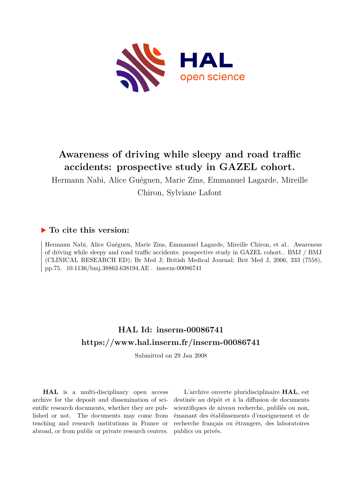

# **Awareness of driving while sleepy and road traffic accidents: prospective study in GAZEL cohort.**

Hermann Nabi, Alice Guéguen, Marie Zins, Emmanuel Lagarde, Mireille Chiron, Sylviane Lafont

## **To cite this version:**

Hermann Nabi, Alice Guéguen, Marie Zins, Emmanuel Lagarde, Mireille Chiron, et al.. Awareness of driving while sleepy and road traffic accidents: prospective study in GAZEL cohort.. BMJ / BMJ (CLINICAL RESEARCH ED); Br Med J; British Medical Journal; Brit Med J, 2006, 333 (7558), pp.75. 10.1136/bmj.38863.638194.AE. inserm-00086741

## **HAL Id: inserm-00086741 <https://www.hal.inserm.fr/inserm-00086741>**

Submitted on 29 Jan 2008

**HAL** is a multi-disciplinary open access archive for the deposit and dissemination of scientific research documents, whether they are published or not. The documents may come from teaching and research institutions in France or abroad, or from public or private research centers.

L'archive ouverte pluridisciplinaire **HAL**, est destinée au dépôt et à la diffusion de documents scientifiques de niveau recherche, publiés ou non, émanant des établissements d'enseignement et de recherche français ou étrangers, des laboratoires publics ou privés.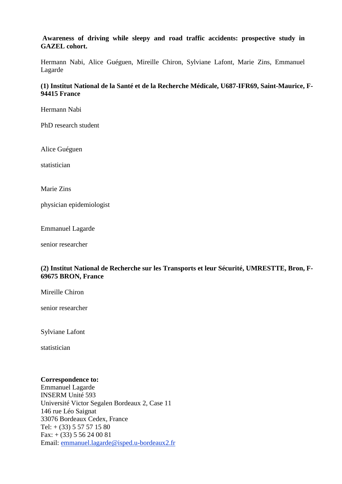### **Awareness of driving while sleepy and road traffic accidents: prospective study in GAZEL cohort.**

Hermann Nabi, Alice Guéguen, Mireille Chiron, Sylviane Lafont, Marie Zins, Emmanuel Lagarde

### **(1) Institut National de la Santé et de la Recherche Médicale, U687-IFR69, Saint-Maurice, F-94415 France**

Hermann Nabi

PhD research student

Alice Guéguen

statistician

Marie Zins

physician epidemiologist

Emmanuel Lagarde

senior researcher

### **(2) Institut National de Recherche sur les Transports et leur Sécurité, UMRESTTE, Bron, F-69675 BRON, France**

Mireille Chiron

senior researcher

Sylviane Lafont

statistician

#### **Correspondence to:**

Emmanuel Lagarde INSERM Unité 593 Université Victor Segalen Bordeaux 2, Case 11 146 rue Léo Saignat 33076 Bordeaux Cedex, France Tel:  $+$  (33) 5 57 57 15 80 Fax: + (33) 5 56 24 00 81 Email: [emmanuel.lagarde@isped.u-bordeaux2.fr](mailto:emmanuel.lagarde@isped.u-bordeaux2.fr)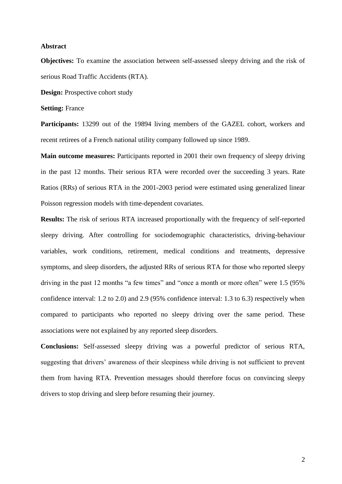#### **Abstract**

**Objectives:** To examine the association between self-assessed sleepy driving and the risk of serious Road Traffic Accidents (RTA).

**Design:** Prospective cohort study

#### **Setting: France**

Participants: 13299 out of the 19894 living members of the GAZEL cohort, workers and recent retirees of a French national utility company followed up since 1989.

**Main outcome measures:** Participants reported in 2001 their own frequency of sleepy driving in the past 12 months. Their serious RTA were recorded over the succeeding 3 years. Rate Ratios (RRs) of serious RTA in the 2001-2003 period were estimated using generalized linear Poisson regression models with time-dependent covariates.

**Results:** The risk of serious RTA increased proportionally with the frequency of self-reported sleepy driving. After controlling for sociodemographic characteristics, driving-behaviour variables, work conditions, retirement, medical conditions and treatments, depressive symptoms, and sleep disorders, the adjusted RRs of serious RTA for those who reported sleepy driving in the past 12 months "a few times" and "once a month or more often" were 1.5 (95% confidence interval: 1.2 to 2.0) and 2.9 (95% confidence interval: 1.3 to 6.3) respectively when compared to participants who reported no sleepy driving over the same period. These associations were not explained by any reported sleep disorders.

**Conclusions:** Self-assessed sleepy driving was a powerful predictor of serious RTA, suggesting that drivers' awareness of their sleepiness while driving is not sufficient to prevent them from having RTA. Prevention messages should therefore focus on convincing sleepy drivers to stop driving and sleep before resuming their journey.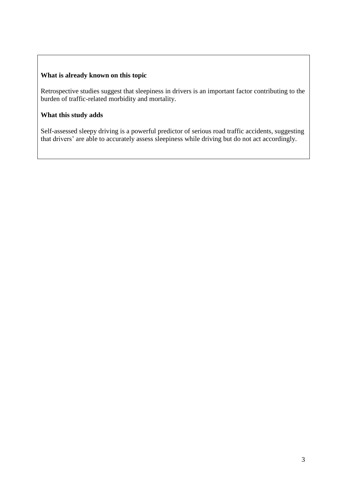## **What is already known on this topic**

Retrospective studies suggest that sleepiness in drivers is an important factor contributing to the burden of traffic-related morbidity and mortality.

## **What this study adds**

Self-assessed sleepy driving is a powerful predictor of serious road traffic accidents, suggesting that drivers' are able to accurately assess sleepiness while driving but do not act accordingly.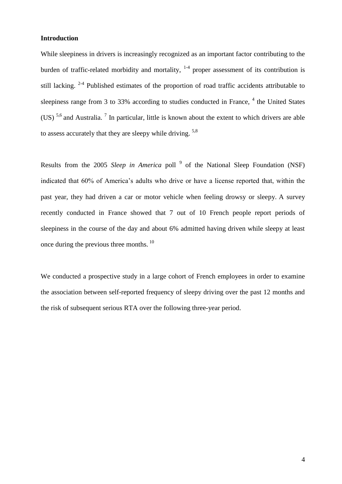#### **Introduction**

While sleepiness in drivers is increasingly recognized as an important factor contributing to the burden of traffic-related morbidity and mortality,  $1-4$  proper assessment of its contribution is still lacking.  $2-4$  Published estimates of the proportion of road traffic accidents attributable to sleepiness range from 3 to 33% according to studies conducted in France,  $4$  the United States (US)  $5.6$  and Australia. <sup>7</sup> In particular, little is known about the extent to which drivers are able to assess accurately that they are sleepy while driving. <sup>5,8</sup>

Results from the 2005 *Sleep in America* poll <sup>9</sup> of the National Sleep Foundation (NSF) indicated that 60% of America's adults who drive or have a license reported that, within the past year, they had driven a car or motor vehicle when feeling drowsy or sleepy. A survey recently conducted in France showed that 7 out of 10 French people report periods of sleepiness in the course of the day and about 6% admitted having driven while sleepy at least once during the previous three months. <sup>10</sup>

We conducted a prospective study in a large cohort of French employees in order to examine the association between self-reported frequency of sleepy driving over the past 12 months and the risk of subsequent serious RTA over the following three-year period.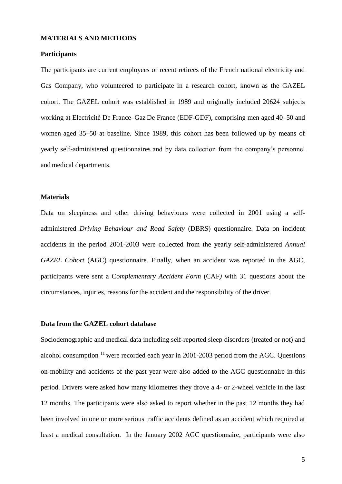#### **MATERIALS AND METHODS**

#### **Participants**

The participants are current employees or recent retirees of the French national electricity and Gas Company, who volunteered to participate in a research cohort, known as the GAZEL cohort. The GAZEL cohort was established in 1989 and originally included 20624 subjects working at Electricité De France–Gaz De France (EDF-GDF), comprising men aged 40–50 and women aged 35–50 at baseline. Since 1989, this cohort has been followed up by means of yearly self-administered questionnaires and by data collection from the company's personnel and medical departments.

#### **Materials**

Data on sleepiness and other driving behaviours were collected in 2001 using a selfadministered *Driving Behaviour and Road Safety* (DBRS) questionnaire. Data on incident accidents in the period 2001-2003 were collected from the yearly self-administered *Annual GAZEL Cohort* (AGC) questionnaire. Finally, when an accident was reported in the AGC, participants were sent a C*omplementary Accident Form* (CAF*)* with 31 questions about the circumstances, injuries, reasons for the accident and the responsibility of the driver.

#### **Data from the GAZEL cohort database**

Sociodemographic and medical data including self-reported sleep disorders (treated or not) and alcohol consumption  $11$  were recorded each year in 2001-2003 period from the AGC. Ouestions on mobility and accidents of the past year were also added to the AGC questionnaire in this period. Drivers were asked how many kilometres they drove a 4- or 2-wheel vehicle in the last 12 months. The participants were also asked to report whether in the past 12 months they had been involved in one or more serious traffic accidents defined as an accident which required at least a medical consultation. In the January 2002 AGC questionnaire, participants were also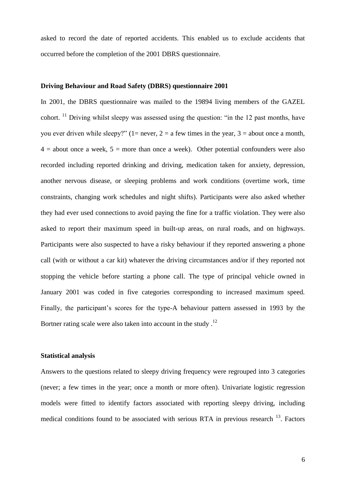asked to record the date of reported accidents. This enabled us to exclude accidents that occurred before the completion of the 2001 DBRS questionnaire.

#### **Driving Behaviour and Road Safety (DBRS) questionnaire 2001**

In 2001, the DBRS questionnaire was mailed to the 19894 living members of the GAZEL cohort.  $11$  Driving whilst sleepy was assessed using the question: "in the 12 past months, have you ever driven while sleepy?" (1= never, 2 = a few times in the year, 3 = about once a month,  $4 =$  about once a week,  $5 =$  more than once a week). Other potential confounders were also recorded including reported drinking and driving, medication taken for anxiety, depression, another nervous disease, or sleeping problems and work conditions (overtime work, time constraints, changing work schedules and night shifts). Participants were also asked whether they had ever used connections to avoid paying the fine for a traffic violation. They were also asked to report their maximum speed in built-up areas, on rural roads, and on highways. Participants were also suspected to have a risky behaviour if they reported answering a phone call (with or without a car kit) whatever the driving circumstances and/or if they reported not stopping the vehicle before starting a phone call. The type of principal vehicle owned in January 2001 was coded in five categories corresponding to increased maximum speed. Finally, the participant's scores for the type-A behaviour pattern assessed in 1993 by the Bortner rating scale were also taken into account in the study.<sup>12</sup>

#### **Statistical analysis**

Answers to the questions related to sleepy driving frequency were regrouped into 3 categories (never; a few times in the year; once a month or more often). Univariate logistic regression models were fitted to identify factors associated with reporting sleepy driving, including medical conditions found to be associated with serious RTA in previous research  $^{13}$ . Factors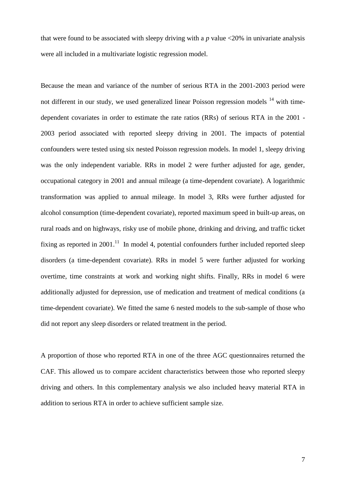that were found to be associated with sleepy driving with a  $p$  value  $\langle 20\%$  in univariate analysis were all included in a multivariate logistic regression model.

Because the mean and variance of the number of serious RTA in the 2001-2003 period were not different in our study, we used generalized linear Poisson regression models  $14$  with timedependent covariates in order to estimate the rate ratios (RRs) of serious RTA in the 2001 - 2003 period associated with reported sleepy driving in 2001. The impacts of potential confounders were tested using six nested Poisson regression models. In model 1, sleepy driving was the only independent variable. RRs in model 2 were further adjusted for age, gender, occupational category in 2001 and annual mileage (a time-dependent covariate). A logarithmic transformation was applied to annual mileage. In model 3, RRs were further adjusted for alcohol consumption (time-dependent covariate), reported maximum speed in built-up areas, on rural roads and on highways, risky use of mobile phone, drinking and driving, and traffic ticket fixing as reported in 2001.<sup>11</sup> In model 4, potential confounders further included reported sleep disorders (a time-dependent covariate). RRs in model 5 were further adjusted for working overtime, time constraints at work and working night shifts. Finally, RRs in model 6 were additionally adjusted for depression, use of medication and treatment of medical conditions (a time-dependent covariate). We fitted the same 6 nested models to the sub-sample of those who did not report any sleep disorders or related treatment in the period.

A proportion of those who reported RTA in one of the three AGC questionnaires returned the CAF. This allowed us to compare accident characteristics between those who reported sleepy driving and others. In this complementary analysis we also included heavy material RTA in addition to serious RTA in order to achieve sufficient sample size.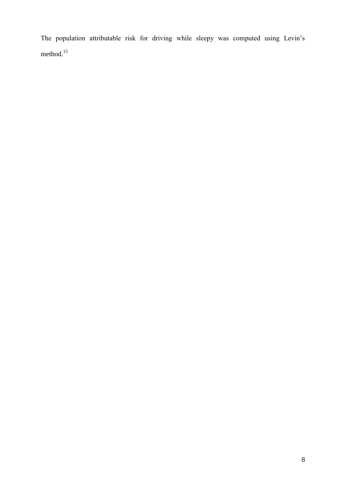The population attributable risk for driving while sleepy was computed using Levin's method.<sup>15</sup>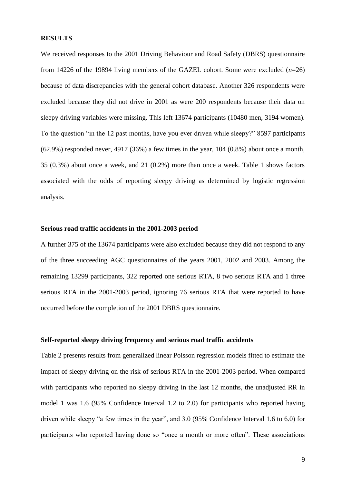#### **RESULTS**

We received responses to the 2001 Driving Behaviour and Road Safety (DBRS) questionnaire from 14226 of the 19894 living members of the GAZEL cohort. Some were excluded (*n*=26) because of data discrepancies with the general cohort database. Another 326 respondents were excluded because they did not drive in 2001 as were 200 respondents because their data on sleepy driving variables were missing. This left 13674 participants (10480 men, 3194 women). To the question "in the 12 past months, have you ever driven while sleepy?" 8597 participants  $(62.9\%)$  responded never, 4917 (36%) a few times in the year, 104 (0.8%) about once a month, 35 (0.3%) about once a week, and 21 (0.2%) more than once a week. Table 1 shows factors associated with the odds of reporting sleepy driving as determined by logistic regression analysis.

#### **Serious road traffic accidents in the 2001-2003 period**

A further 375 of the 13674 participants were also excluded because they did not respond to any of the three succeeding AGC questionnaires of the years 2001, 2002 and 2003. Among the remaining 13299 participants, 322 reported one serious RTA, 8 two serious RTA and 1 three serious RTA in the 2001-2003 period, ignoring 76 serious RTA that were reported to have occurred before the completion of the 2001 DBRS questionnaire.

#### **Self-reported sleepy driving frequency and serious road traffic accidents**

Table 2 presents results from generalized linear Poisson regression models fitted to estimate the impact of sleepy driving on the risk of serious RTA in the 2001-2003 period. When compared with participants who reported no sleepy driving in the last 12 months, the unadjusted RR in model 1 was 1.6 (95% Confidence Interval 1.2 to 2.0) for participants who reported having driven while sleepy "a few times in the year", and 3.0 (95% Confidence Interval 1.6 to 6.0) for participants who reported having done so "once a month or more often". These associations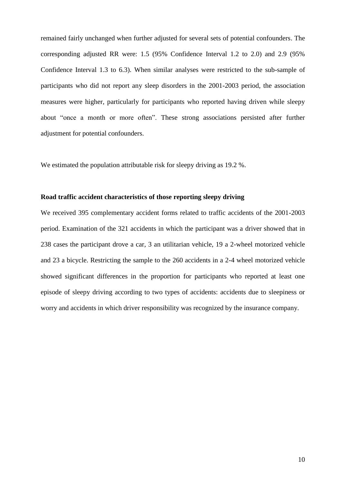remained fairly unchanged when further adjusted for several sets of potential confounders. The corresponding adjusted RR were: 1.5 (95% Confidence Interval 1.2 to 2.0) and 2.9 (95% Confidence Interval 1.3 to 6.3). When similar analyses were restricted to the sub-sample of participants who did not report any sleep disorders in the 2001-2003 period, the association measures were higher, particularly for participants who reported having driven while sleepy about "once a month or more often". These strong associations persisted after further adjustment for potential confounders.

We estimated the population attributable risk for sleepy driving as 19.2 %.

#### **Road traffic accident characteristics of those reporting sleepy driving**

We received 395 complementary accident forms related to traffic accidents of the 2001-2003 period. Examination of the 321 accidents in which the participant was a driver showed that in 238 cases the participant drove a car, 3 an utilitarian vehicle, 19 a 2-wheel motorized vehicle and 23 a bicycle. Restricting the sample to the 260 accidents in a 2-4 wheel motorized vehicle showed significant differences in the proportion for participants who reported at least one episode of sleepy driving according to two types of accidents: accidents due to sleepiness or worry and accidents in which driver responsibility was recognized by the insurance company.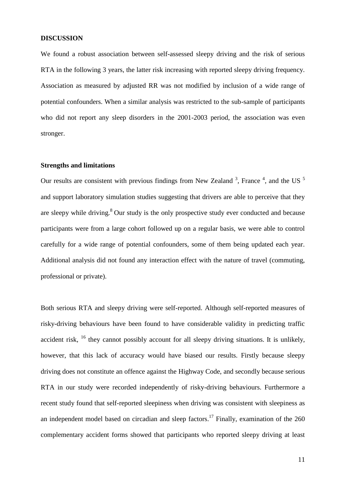#### **DISCUSSION**

We found a robust association between self-assessed sleepy driving and the risk of serious RTA in the following 3 years, the latter risk increasing with reported sleepy driving frequency. Association as measured by adjusted RR was not modified by inclusion of a wide range of potential confounders. When a similar analysis was restricted to the sub-sample of participants who did not report any sleep disorders in the 2001-2003 period, the association was even stronger.

#### **Strengths and limitations**

Our results are consistent with previous findings from New Zealand  $3$ , France  $4$ , and the US  $5$ and support laboratory simulation studies suggesting that drivers are able to perceive that they are sleepy while driving. $8$  Our study is the only prospective study ever conducted and because participants were from a large cohort followed up on a regular basis, we were able to control carefully for a wide range of potential confounders, some of them being updated each year. Additional analysis did not found any interaction effect with the nature of travel (commuting, professional or private).

Both serious RTA and sleepy driving were self-reported. Although self-reported measures of risky-driving behaviours have been found to have considerable validity in predicting traffic accident risk, <sup>16</sup> they cannot possibly account for all sleepy driving situations. It is unlikely, however, that this lack of accuracy would have biased our results. Firstly because sleepy driving does not constitute an offence against the Highway Code, and secondly because serious RTA in our study were recorded independently of risky-driving behaviours. Furthermore a recent study found that self-reported sleepiness when driving was consistent with sleepiness as an independent model based on circadian and sleep factors.<sup>17</sup> Finally, examination of the 260 complementary accident forms showed that participants who reported sleepy driving at least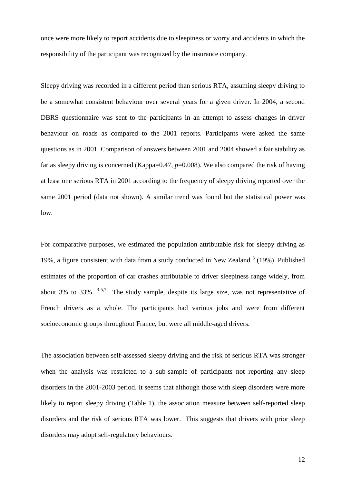once were more likely to report accidents due to sleepiness or worry and accidents in which the responsibility of the participant was recognized by the insurance company.

Sleepy driving was recorded in a different period than serious RTA, assuming sleepy driving to be a somewhat consistent behaviour over several years for a given driver. In 2004, a second DBRS questionnaire was sent to the participants in an attempt to assess changes in driver behaviour on roads as compared to the 2001 reports. Participants were asked the same questions as in 2001. Comparison of answers between 2001 and 2004 showed a fair stability as far as sleepy driving is concerned (Kappa=0.47,  $p=0.008$ ). We also compared the risk of having at least one serious RTA in 2001 according to the frequency of sleepy driving reported over the same 2001 period (data not shown). A similar trend was found but the statistical power was low.

For comparative purposes, we estimated the population attributable risk for sleepy driving as 19%, a figure consistent with data from a study conducted in New Zealand  $3$  (19%). Published estimates of the proportion of car crashes attributable to driver sleepiness range widely, from about 3% to 33%.  $3-5,7$  The study sample, despite its large size, was not representative of French drivers as a whole. The participants had various jobs and were from different socioeconomic groups throughout France, but were all middle-aged drivers.

The association between self-assessed sleepy driving and the risk of serious RTA was stronger when the analysis was restricted to a sub-sample of participants not reporting any sleep disorders in the 2001-2003 period. It seems that although those with sleep disorders were more likely to report sleepy driving (Table 1), the association measure between self-reported sleep disorders and the risk of serious RTA was lower. This suggests that drivers with prior sleep disorders may adopt self-regulatory behaviours.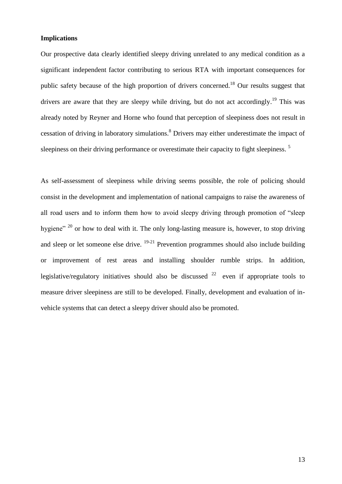#### **Implications**

Our prospective data clearly identified sleepy driving unrelated to any medical condition as a significant independent factor contributing to serious RTA with important consequences for public safety because of the high proportion of drivers concerned.<sup>18</sup> Our results suggest that drivers are aware that they are sleepy while driving, but do not act accordingly.<sup>19</sup> This was already noted by Reyner and Horne who found that perception of sleepiness does not result in cessation of driving in laboratory simulations.<sup>8</sup> Drivers may either underestimate the impact of sleepiness on their driving performance or overestimate their capacity to fight sleepiness.<sup>5</sup>

As self-assessment of sleepiness while driving seems possible, the role of policing should consist in the development and implementation of national campaigns to raise the awareness of all road users and to inform them how to avoid sleepy driving through promotion of "sleep hygiene"  $20$  or how to deal with it. The only long-lasting measure is, however, to stop driving and sleep or let someone else drive.  $19-21$  Prevention programmes should also include building or improvement of rest areas and installing shoulder rumble strips. In addition, legislative/regulatory initiatives should also be discussed  $22$  even if appropriate tools to measure driver sleepiness are still to be developed. Finally, development and evaluation of invehicle systems that can detect a sleepy driver should also be promoted.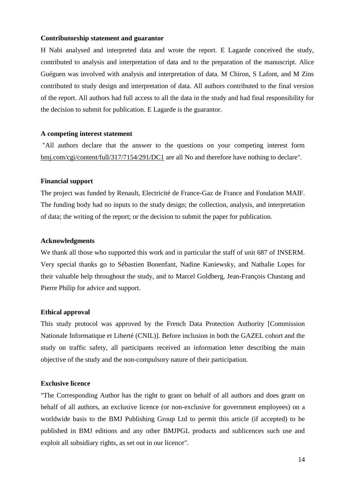#### **Contributorship statement and guarantor**

H Nabi analysed and interpreted data and wrote the report. E Lagarde conceived the study, contributed to analysis and interpretation of data and to the preparation of the manuscript. Alice Guéguen was involved with analysis and interpretation of data. M Chiron, S Lafont, and M Zins contributed to study design and interpretation of data. All authors contributed to the final version of the report. All authors had full access to all the data in the study and had final responsibility for the decision to submit for publication. E Lagarde is the guarantor.

#### **A competing interest statement**

"All authors declare that the answer to the questions on your competing interest form [bmj.com/cgi/content/full/317/7154/291/DC1](http://bmj.bmjjournals.com/cgi/content/full/317/7154/291/DC1) are all No and therefore have nothing to declare".

#### **Financial support**

The project was funded by Renault, Electricité de France-Gaz de France and Fondation MAIF. The funding body had no inputs to the study design; the collection, analysis, and interpretation of data; the writing of the report; or the decision to submit the paper for publication.

#### **Acknowledgments**

We thank all those who supported this work and in particular the staff of unit 687 of INSERM. Very special thanks go to Sébastien Bonenfant, Nadine Kaniewsky, and Nathalie Lopes for their valuable help throughout the study, and to Marcel Goldberg, Jean-François Chastang and Pierre Philip for advice and support.

#### **Ethical approval**

This study protocol was approved by the French Data Protection Authority [Commission Nationale Informatique et Liberté (CNIL)]. Before inclusion in both the GAZEL cohort and the study on traffic safety, all participants received an information letter describing the main objective of the study and the non-compulsory nature of their participation.

#### **Exclusive licence**

"The Corresponding Author has the right to grant on behalf of all authors and does grant on behalf of all authors, an exclusive licence (or non-exclusive for government employees) on a worldwide basis to the BMJ Publishing Group Ltd to permit this article (if accepted) to be published in BMJ editions and any other BMJPGL products and sublicences such use and exploit all subsidiary rights, as set out in our licence".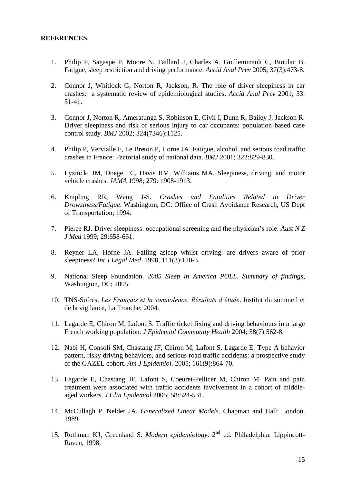#### **REFERENCES**

- 1. [Philip P,](http://www.ncbi.nlm.nih.gov/entrez/query.fcgi?db=pubmed&cmd=Search&term=%22Philip+P%22%5BAuthor%5D) [Sagaspe P,](http://www.ncbi.nlm.nih.gov/entrez/query.fcgi?db=pubmed&cmd=Search&term=%22Sagaspe+P%22%5BAuthor%5D) [Moore N,](http://www.ncbi.nlm.nih.gov/entrez/query.fcgi?db=pubmed&cmd=Search&term=%22Moore+N%22%5BAuthor%5D) [Taillard J,](http://www.ncbi.nlm.nih.gov/entrez/query.fcgi?db=pubmed&cmd=Search&term=%22Taillard+J%22%5BAuthor%5D) [Charles A,](http://www.ncbi.nlm.nih.gov/entrez/query.fcgi?db=pubmed&cmd=Search&term=%22Charles+A%22%5BAuthor%5D) [Guilleminault C,](http://www.ncbi.nlm.nih.gov/entrez/query.fcgi?db=pubmed&cmd=Search&term=%22Guilleminault+C%22%5BAuthor%5D) [Bioulac B.](http://www.ncbi.nlm.nih.gov/entrez/query.fcgi?db=pubmed&cmd=Search&term=%22Bioulac+B%22%5BAuthor%5D) Fatigue, sleep restriction and driving performance. *Accid Anal Prev* 2005; 37(3):473-8.
- 2. Connor J, Whitlock G, Norton R, Jackson, R. The role of driver sleepiness in car crashes: a systematic review of epidemiological studies. *Accid Anal Prev* 2001; 33: 31-41.
- 3. Connor J, Norton R, Ameratunga S, Robinson E, Civil I, Dunn R, Bailey J, Jackson R. Driver sleepiness and risk of serious injury to car occupants: population based case control study. *BMJ* 2002; 324(7346):1125.
- 4. Philip P, Vervialle F, Le Breton P, Horne JA. Fatigue, alcohol, and serious road traffic crashes in France: Factorial study of national data. *BMJ* 2001; 322:829-830.
- 5. Lyznicki JM, Doege TC, Davis RM, Williams MA. Sleepiness, driving, and motor vehicle crashes. *JAMA* 1998; 279: 1908-1913.
- 6. Knipling RR, Wang J-S. *Crashes and Fatalities Related to Driver Drowsiness/Fatigue*. Washington, DC: Office of Crash Avoidance Research, US Dept of Transportation; 1994.
- 7. Pierce RJ. Driver sleepiness: occupational screening and the physician's role. *Aust N Z J Med* 1999; 29:658-661.
- 8. Reyner LA, Horne JA. Falling asleep whilst driving: are drivers aware of prior sleepiness? *Int J Legal Med*. 1998, 111(3):120-3.
- 9. National Sleep Foundation. *2005 Sleep in America POLL. Summary of findings*, Washington, DC; 2005.
- 10. TNS-Sofres. *Les Français et la somnolence. Résultats d'étude*. Institut du sommeil et de la vigilance, La Tronche; 2004.
- 11. [Lagarde E,](http://www.ncbi.nlm.nih.gov/entrez/query.fcgi?db=pubmed&cmd=Search&term=%22Lagarde+E%22%5BAuthor%5D) [Chiron M,](http://www.ncbi.nlm.nih.gov/entrez/query.fcgi?db=pubmed&cmd=Search&term=%22Chiron+M%22%5BAuthor%5D) [Lafont S.](http://www.ncbi.nlm.nih.gov/entrez/query.fcgi?db=pubmed&cmd=Search&term=%22Lafont+S%22%5BAuthor%5D) Traffic ticket fixing and driving behaviours in a large French working population. *J Epidemiol Community Health* 2004; 58(7):562-8.
- 12. Nabi H, Consoli SM, Chastang JF, Chiron M, Lafont S, Lagarde E. Type A behavior pattern, risky driving behaviors, and serious road traffic accidents: a prospective study of the GAZEL cohort. *Am J Epidemiol*. 2005; 161(9):864-70.
- 13. Lagarde E, Chastang JF, Lafont S, Coeuret-Pellicer M, Chiron M. Pain and pain treatment were associated with traffic accidents involvement in a cohort of middleaged workers. *J Clin Epidemiol* 2005; 58:524-531.
- 14. McCullagh P, Nelder JA. *Generalized Linear Models*. Chapman and Hall: London. 1989.
- 15. Rothman KJ, Greenland S. *Modern epidemiology*. 2nd ed. Philadelphia: Lippincott-Raven, 1998.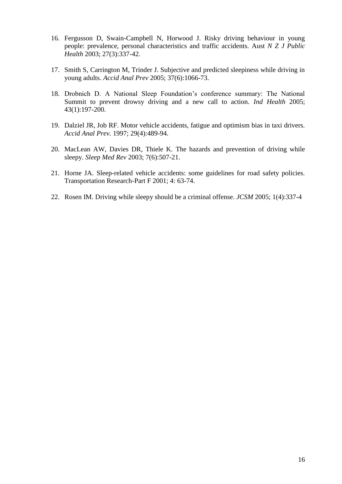- 16. Fergusson D, Swain-Campbell N, Horwood J. Risky driving behaviour in young people: prevalence, personal characteristics and traffic accidents. Aust *N Z J Public Health* 2003; 27(3):337-42.
- 17. Smith S, Carrington M, Trinder J. Subjective and predicted sleepiness while driving in young adults. *Accid Anal Prev* 2005; 37(6):1066-73.
- 18. Drobnich D. A National Sleep Foundation's conference summary: The National Summit to prevent drowsy driving and a new call to action. *Ind Health* 2005; 43(1):197-200.
- 19. Dalziel JR, Job RF. Motor vehicle accidents, fatigue and optimism bias in taxi drivers. *Accid Anal Prev.* 1997; 29(4):489-94.
- 20. [MacLean AW,](http://www.ncbi.nlm.nih.gov/entrez/query.fcgi?db=pubmed&cmd=Search&term=%22MacLean+AW%22%5BAuthor%5D) [Davies DR,](http://www.ncbi.nlm.nih.gov/entrez/query.fcgi?db=pubmed&cmd=Search&term=%22Davies+DR%22%5BAuthor%5D) [Thiele K.](http://www.ncbi.nlm.nih.gov/entrez/query.fcgi?db=pubmed&cmd=Search&term=%22Thiele+K%22%5BAuthor%5D) The hazards and prevention of driving while sleepy. *Sleep Med Rev* 2003; 7(6):507-21.
- 21. Horne JA. Sleep-related vehicle accidents: some guidelines for road safety policies. Transportation Research-Part F 2001; 4: 63-74.
- 22. Rosen IM. Driving while sleepy should be a criminal offense. *JCSM* 2005; 1(4):337-4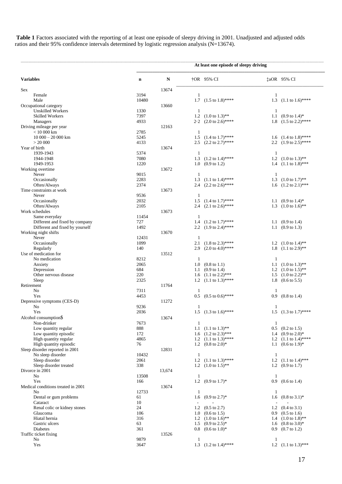Table 1 Factors associated with the reporting of at least one episode of sleepy driving in 2001. Unadjusted and adjusted odds ratios and their 95% confidence intervals determined by logistic regression analysis (N=13674).

|                                                 | At least one episode of sleepy driving |           |                          |                                                                   |                          |                                  |  |
|-------------------------------------------------|----------------------------------------|-----------|--------------------------|-------------------------------------------------------------------|--------------------------|----------------------------------|--|
| <b>Variables</b>                                | n                                      | ${\bf N}$ |                          | $\dagger$ OR 95% CI                                               |                          | <b>‡aOR</b> 95% CI               |  |
| <b>Sex</b>                                      |                                        | 13674     |                          |                                                                   |                          |                                  |  |
| Female                                          | 3194                                   |           | 1                        |                                                                   | 1                        |                                  |  |
| Male                                            | 10480                                  |           | 1.7                      | $(1.5 \text{ to } 1.8)$ ****                                      |                          | 1.3 $(1.1 \text{ to } 1.6)$ **** |  |
| Occupational category                           |                                        | 13660     |                          |                                                                   |                          |                                  |  |
| <b>Unskilled Workers</b>                        | 1330                                   |           | $\mathbf{1}$             |                                                                   | $\mathbf{1}$             |                                  |  |
| <b>Skilled Workers</b>                          | 7397                                   |           | 1.2                      | $(1.0 \text{ to } 1.3)$ **                                        | $1.1\,$                  | $(0.9 \text{ to } 1.4)^*$        |  |
| Managers                                        | 4933                                   |           | $2 \cdot 2$              | $(2.0 \text{ to } 2.6)$ ****                                      | 1.8                      | $(1.5 \text{ to } 2.2)$ ****     |  |
| Driving mileage per year<br>$< 10000$ km        | 2785                                   | 12163     | -1                       |                                                                   |                          |                                  |  |
| $10000 - 20000$ km                              | 5245                                   |           | 1.5                      | $(1.4 \text{ to } 1.7)$ ****                                      |                          | 1.6 $(1.4 \text{ to } 1.8)$ **** |  |
| > 20000                                         | 4133                                   |           | 2.5                      | $(2.2 \text{ to } 2.7)$ ****                                      |                          | 2.2 $(1.9 \text{ to } 2.5)$ **** |  |
| Year of birth                                   |                                        | 13674     |                          |                                                                   |                          |                                  |  |
| 1939-1943                                       | 5374                                   |           | $\mathbf{1}$             |                                                                   | 1                        |                                  |  |
| 1944-1948                                       | 7080                                   |           | 1.3                      | $(1.2 \text{ to } 1.4)$ ****                                      |                          | 1.2 $(1.0 \text{ to } 1.3)$ **   |  |
| 1949-1953                                       | 1220                                   |           | 1.0                      | $(0.9 \text{ to } 1.2)$                                           |                          | 1.4 $(1.1 \text{ to } 1.8)$ ***  |  |
| Working overtime                                |                                        | 13672     |                          |                                                                   |                          |                                  |  |
| Never                                           | 9015                                   |           | $\mathbf{1}$             |                                                                   | $\mathbf{1}$             |                                  |  |
| Occasionally                                    | 2283                                   |           | 1.3                      | $(1.1 \text{ to } 1.4)$ ****                                      | 1.3                      | $(1.0 \text{ to } 1.7)$ **       |  |
| Often/Always                                    | 2374                                   |           | 2.4                      | $(2.2 \text{ to } 2.6)$ ****                                      | 1.6                      | $(1.2 \text{ to } 2.1)$ ***      |  |
| Time constraints at work                        |                                        | 13673     |                          |                                                                   |                          |                                  |  |
| Never                                           | 9536                                   |           | 1                        |                                                                   |                          |                                  |  |
| Occasionally                                    | 2032                                   |           | 1.5                      | $(1.4 \text{ to } 1.7)$ ****                                      | 1.1                      | $(0.9 \text{ to } 1.4)^*$        |  |
| Often/Always                                    | 2105                                   |           | 2.4                      | $(2.1 \text{ to } 2.6)$ ****                                      |                          | 1.3 $(1.0 \text{ to } 1.6)$ **   |  |
| Work schedules                                  |                                        | 13673     |                          |                                                                   |                          |                                  |  |
| Same everyday<br>Different and fixed by company | 11454<br>727                           |           | 1<br>1.4                 | $(1.2 \text{ to } 1.7)$ ****                                      |                          | 1.1 $(0.9 \text{ to } 1.4)$      |  |
| Different and fixed by yourself                 | 1492                                   |           |                          | 2.2 $(1.9 \text{ to } 2.4)$ ****                                  |                          | 1.1 $(0.9 \text{ to } 1.3)$      |  |
| Working night shifts                            |                                        | 13670     |                          |                                                                   |                          |                                  |  |
| Never                                           | 12431                                  |           | $\mathbf{1}$             |                                                                   |                          |                                  |  |
| Occasionally                                    | 1099                                   |           | 2.1                      | $(1.8 \text{ to } 2.3)$ ****                                      |                          | 1.2 $(1.0 \text{ to } 1.4)$ **   |  |
| Regularly                                       | 140                                    |           |                          | 2.9 $(2.0 \text{ to } 4.0)$ ****                                  |                          | 1.8 $(1.1 \text{ to } 2.9)$ **   |  |
| Use of medication for                           |                                        | 13512     |                          |                                                                   |                          |                                  |  |
| No medication                                   | 8212                                   |           | $\mathbf{1}$             |                                                                   | $\mathbf{1}$             |                                  |  |
| Anxiety                                         | 2065                                   |           | 1.0                      | $(0.8 \text{ to } 1.1)$                                           | 1.1                      | $(1.0 \text{ to } 1.3)$ **       |  |
| Depression                                      | 684                                    |           | 1.1                      | $(0.9 \text{ to } 1.4)$                                           |                          | 1.2 $(1.0 \text{ to } 1.5)$ **   |  |
| Other nervous disease                           | 220                                    |           | 1.6                      | $(1.1 \text{ to } 2.2)$ ***                                       | 1.5                      | $(1.0 \text{ to } 2.2)$ **       |  |
| Sleep                                           | 2325                                   |           |                          | 1.2 $(1.1 \text{ to } 1.3)$ ****                                  | 1.8                      | $(0.6 \text{ to } 5.5)$          |  |
| Retirement                                      |                                        | 11764     |                          |                                                                   |                          |                                  |  |
| N <sub>o</sub>                                  | 7311                                   |           | -1                       |                                                                   | $\mathbf{1}$             |                                  |  |
| Yes                                             | 4453                                   |           | 0.5                      | $(0.5 \text{ to } 0.6)$ ****                                      | 0.9                      | $(0.8 \text{ to } 1.4)$          |  |
| Depressive symptoms (CES-D)                     |                                        | 11272     |                          |                                                                   |                          |                                  |  |
| No                                              | 9236                                   |           | 1                        |                                                                   | 1                        |                                  |  |
| Yes                                             | 2036                                   |           |                          | 1.5 $(1.3 \text{ to } 1.6)$ ****                                  |                          | 1.5 $(1.3 \text{ to } 1.7)$ **** |  |
| Alcohol consumption\$                           |                                        | 13674     |                          |                                                                   |                          |                                  |  |
| Non-drinker                                     | 7673<br>888                            |           | $\mathbf{1}$             |                                                                   | $\mathbf{1}$             | $0.5$ $(0.2 \text{ to } 1.5)$    |  |
| Low quantity regular<br>Low quantity episodic   | 172                                    |           |                          | 1.1 $(1.1 \text{ to } 1.3)$ **<br>1.6 $(1.2 \text{ to } 2.3)$ *** |                          | 1.4 $(0.9 \text{ to } 2.0)^*$    |  |
| High quantity regular                           | 4865                                   |           |                          | 1.2 $(1.1 \text{ to } 1.3)$ ****                                  |                          | 1.2 $(1.1 \text{ to } 1.4)$ **** |  |
| High quantity episodic                          | 76                                     |           |                          | 1.2 $(0.8 \text{ to } 2.0)^*$                                     |                          | 1.1 $(0.6 \text{ to } 1.9)^*$    |  |
| Sleep disorder reported in 2001                 |                                        | 12831     |                          |                                                                   |                          |                                  |  |
| No sleep disorder                               | 10432                                  |           | -1                       |                                                                   | 1                        |                                  |  |
| Sleep disorder                                  | 2061                                   |           | 1.2                      | $(1.1 \text{ to } 1.3)$ ****                                      |                          | 1.2 $(1.1 \text{ to } 1.4)$ ***  |  |
| Sleep disorder treated                          | 338                                    |           |                          | 1.2 $(1.0 \text{ to } 1.5)$ **                                    |                          | 1.2 $(0.9 \text{ to } 1.7)$      |  |
| Divorce in 2001                                 |                                        | 13,674    |                          |                                                                   |                          |                                  |  |
| No                                              | 13508                                  |           | $\mathbf{1}$             |                                                                   | -1                       |                                  |  |
| Yes                                             | 166                                    |           | 1.2                      | $(0.9 \text{ to } 1.7)^*$                                         | 0.9                      | $(0.6 \text{ to } 1.4)$          |  |
| Medical conditions treated in 2001              |                                        | 13674     |                          |                                                                   |                          |                                  |  |
| No                                              | 12733                                  |           | -1                       |                                                                   | 1                        |                                  |  |
| Dental or gum problems                          | 61                                     |           | 1.6                      | $(0.9 \text{ to } 2.7)^*$                                         |                          | 1.6 $(0.8 \text{ to } 3.1)^*$    |  |
| Cataract                                        | 10                                     |           | $\overline{\phantom{a}}$ |                                                                   | $\overline{\phantom{a}}$ |                                  |  |
| Renal colic or kidney stones                    | 24                                     |           |                          | 1.2 $(0.5 \text{ to } 2.7)$                                       |                          | 1.2 $(0.4 \text{ to } 3.1)$      |  |
| Glaucoma                                        | 106                                    |           |                          | $1.0 \quad (0.6 \text{ to } 1.5)$                                 |                          | $0.9$ $(0.5 \text{ to } 1.6)$    |  |
| Hiatal hernia                                   | 316                                    |           |                          | 1.2 $(1.0 \text{ to } 1.6)$ <sup>**</sup>                         |                          | 1.4 $(1.0 \text{ to } 1.8)$ **   |  |
| Gastric ulcers                                  | 63                                     |           |                          | 1.5 $(0.9 \text{ to } 2.5)^*$                                     |                          | 1.6 $(0.8 \text{ to } 3.0)^*$    |  |
| Diabetes                                        | 361                                    |           |                          | $0.8$ $(0.6 \text{ to } 1.0)^*$                                   |                          | $0.9$ $(0.7 \text{ to } 1.2)$    |  |
| Traffic ticket fixing<br>No                     | 9879                                   | 13526     | $\mathbf{1}$             |                                                                   | 1                        |                                  |  |
| Yes                                             | 3647                                   |           |                          | 1.3 $(1.2 \text{ to } 1.4)$ ****                                  |                          | 1.2 $(1.1 \text{ to } 1.3)$ ***  |  |
|                                                 |                                        |           |                          |                                                                   |                          |                                  |  |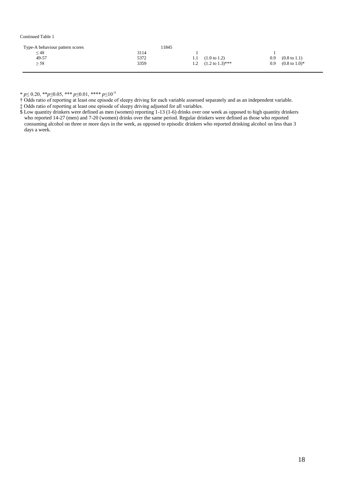#### Continued Table 1

| Type-A behaviour pattern scores | 1845 |     |                             |     |                           |
|---------------------------------|------|-----|-----------------------------|-----|---------------------------|
| $\leq$ 48                       | 3114 |     |                             |     |                           |
| 49-57                           | 5372 | 1.1 | $(1.0 \text{ to } 1.2)$     | 0.9 | $(0.8 \text{ to } 1.1)$   |
| $\geq$ 58                       | 3359 | 1.2 | $(1.2 \text{ to } 1.3)$ *** | 0.9 | $(0.8 \text{ to } 1.0)^*$ |
|                                 |      |     |                             |     |                           |

\* *p*≤ 0.20, \*\**p*≤0.05, \*\*\* *p*≤0.01, \*\*\*\* *p*≤10-3

† Odds ratio of reporting at least one episode of sleepy driving for each variable assessed separately and as an independent variable.

‡ Odds ratio of reporting at least one episode of sleepy driving adjusted for all variables.

\$ Low quantity drinkers were defined as men (women) reporting 1-13 (1-6) drinks over one week as opposed to high quantity drinkers who reported 14-27 (men) and 7-20 (women) drinks over the same period. Regular drinkers were defined as those who reported consuming alcohol on three or more days in the week, as opposed to episodic drinkers who reported drinking alcohol on less than 3 days a week.